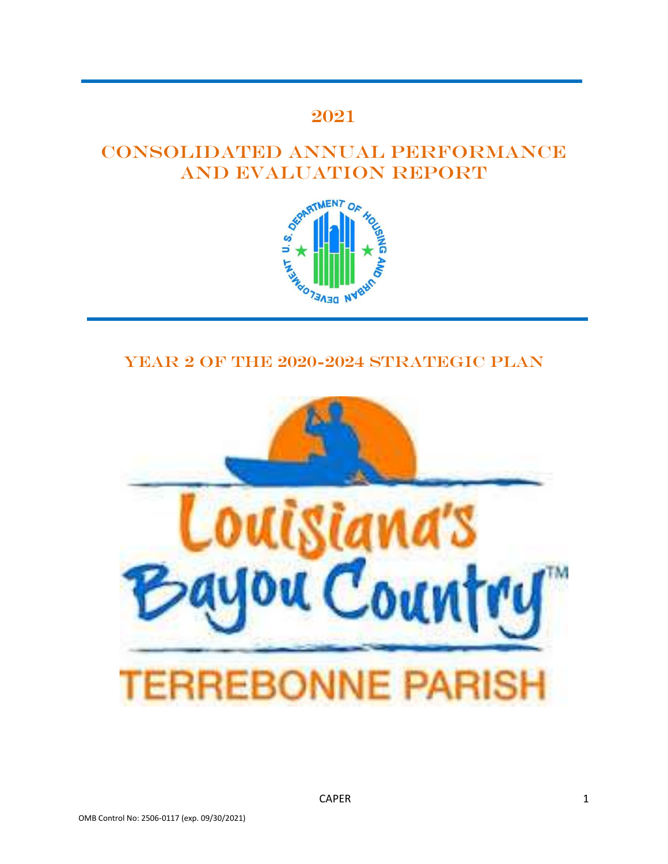# 2021

# Consolidated Annual Performance



# YEAR 2 OF THE 2020-2024 STRATEGIC PLAN

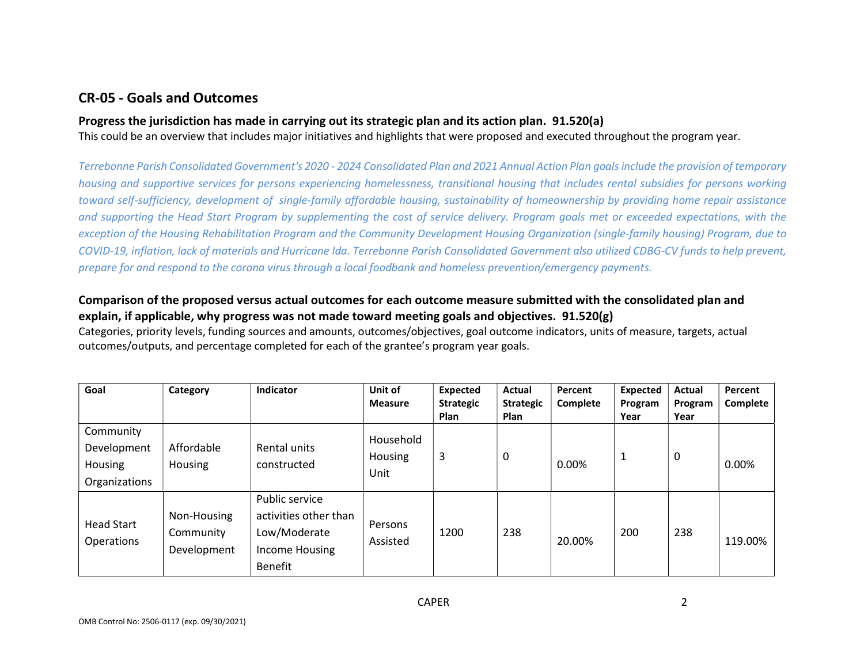# CR-05 - Goals and Outcomes

# Progress the jurisdiction has made in carrying out its strategic plan and its action plan. 91.520(a)

This could be an overview that includes major initiatives and highlights that were proposed and executed throughout the program year.

Terrebonne Parish Consolidated Government's 2020 - 2024 Consolidated Plan and 2021 Annual Action Plan goals include the provision of temporary housing and supportive services for persons experiencing homelessness, transitional housing that includes rental subsidies for persons working toward self-sufficiency, development of single-family affordable housing, sustainability of homeownership by providing home repair assistance and supporting the Head Start Program by supplementing the cost of service delivery. Program goals met or exceeded expectations, with the exception of the Housing Rehabilitation Program and the Community Development Housing Organization (single-family housing) Program, due to COVID-19, inflation, lack of materials and Hurricane Ida. Terrebonne Parish Consolidated Government also utilized CDBG-CV funds to help prevent, prepare for and respond to the corona virus through a local foodbank and homeless prevention/emergency payments.

# Comparison of the proposed versus actual outcomes for each outcome measure submitted with the consolidated plan and explain, if applicable, why progress was not made toward meeting goals and objectives. 91.520(g)

Categories, priority levels, funding sources and amounts, outcomes/objectives, goal outcome indicators, units of measure, targets, actual outcomes/outputs, and percentage completed for each of the grantee's program year goals.

| Goal                                                        | Category                                | Indicator                                                                                   | Unit of<br><b>Measure</b>    | <b>Expected</b><br><b>Strategic</b><br><b>Plan</b> | Actual<br><b>Strategic</b><br><b>Plan</b> | Percent<br>Complete | <b>Expected</b><br>Program<br>Year | Actual<br>Program<br>Year | Percent<br>Complete |
|-------------------------------------------------------------|-----------------------------------------|---------------------------------------------------------------------------------------------|------------------------------|----------------------------------------------------|-------------------------------------------|---------------------|------------------------------------|---------------------------|---------------------|
| Community<br>Development<br><b>Housing</b><br>Organizations | Affordable<br><b>Housing</b>            | Rental units<br>constructed                                                                 | Household<br>Housing<br>Unit | 3                                                  | 0                                         | 0.00%               | $\mathbf{1}$                       | 0                         | 0.00%               |
| <b>Head Start</b><br>Operations                             | Non-Housing<br>Community<br>Development | Public service<br>activities other than<br>Low/Moderate<br>Income Housing<br><b>Benefit</b> | Persons<br>Assisted          | 1200                                               | 238                                       | 20.00%              | 200                                | 238                       | 119.00%             |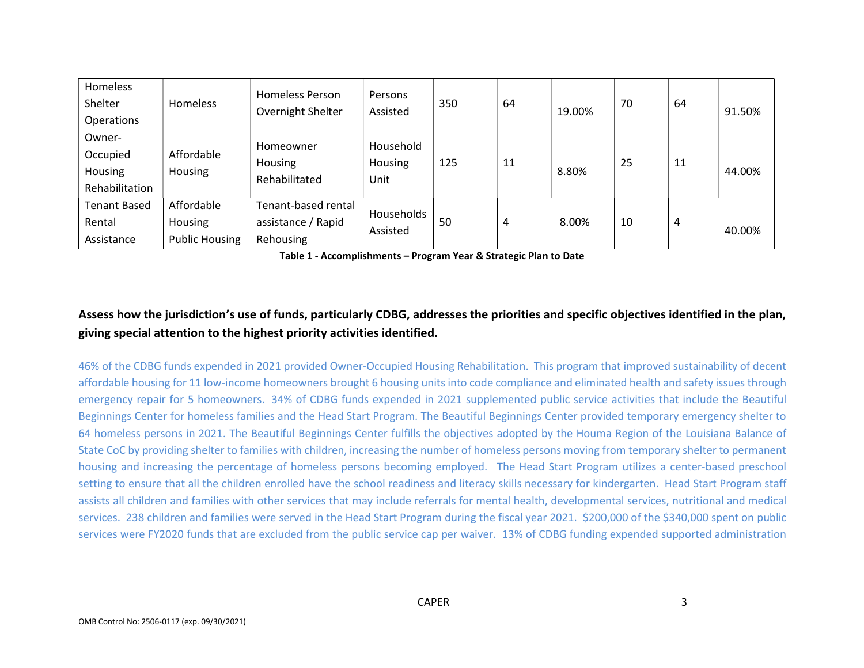| Homeless<br>Shelter<br>Operations               | <b>Homeless</b>                                | <b>Homeless Person</b><br>Overnight Shelter            | Persons<br>Assisted                 | 350 | 64 | 19.00% | 70 | 64 | 91.50% |
|-------------------------------------------------|------------------------------------------------|--------------------------------------------------------|-------------------------------------|-----|----|--------|----|----|--------|
| Owner-<br>Occupied<br>Housing<br>Rehabilitation | Affordable<br>Housing                          | Homeowner<br>Housing<br>Rehabilitated                  | Household<br><b>Housing</b><br>Unit | 125 | 11 | 8.80%  | 25 | 11 | 44.00% |
| <b>Tenant Based</b><br>Rental<br>Assistance     | Affordable<br>Housing<br><b>Public Housing</b> | Tenant-based rental<br>assistance / Rapid<br>Rehousing | Households<br>Assisted              | 50  | 4  | 8.00%  | 10 | 4  | 40.00% |

Table 1 - Accomplishments – Program Year & Strategic Plan to Date

# Assess how the jurisdiction's use of funds, particularly CDBG, addresses the priorities and specific objectives identified in the plan, giving special attention to the highest priority activities identified.

46% of the CDBG funds expended in 2021 provided Owner-Occupied Housing Rehabilitation. This program that improved sustainability of decent affordable housing for 11 low-income homeowners brought 6 housing units into code compliance and eliminated health and safety issues through emergency repair for 5 homeowners. 34% of CDBG funds expended in 2021 supplemented public service activities that include the Beautiful Beginnings Center for homeless families and the Head Start Program. The Beautiful Beginnings Center provided temporary emergency shelter to 64 homeless persons in 2021. The Beautiful Beginnings Center fulfills the objectives adopted by the Houma Region of the Louisiana Balance of State CoC by providing shelter to families with children, increasing the number of homeless persons moving from temporary shelter to permanent housing and increasing the percentage of homeless persons becoming employed. The Head Start Program utilizes a center-based preschool setting to ensure that all the children enrolled have the school readiness and literacy skills necessary for kindergarten. Head Start Program staff assists all children and families with other services that may include referrals for mental health, developmental services, nutritional and medical services. 238 children and families were served in the Head Start Program during the fiscal year 2021. \$200,000 of the \$340,000 spent on public services were FY2020 funds that are excluded from the public service cap per waiver. 13% of CDBG funding expended supported administration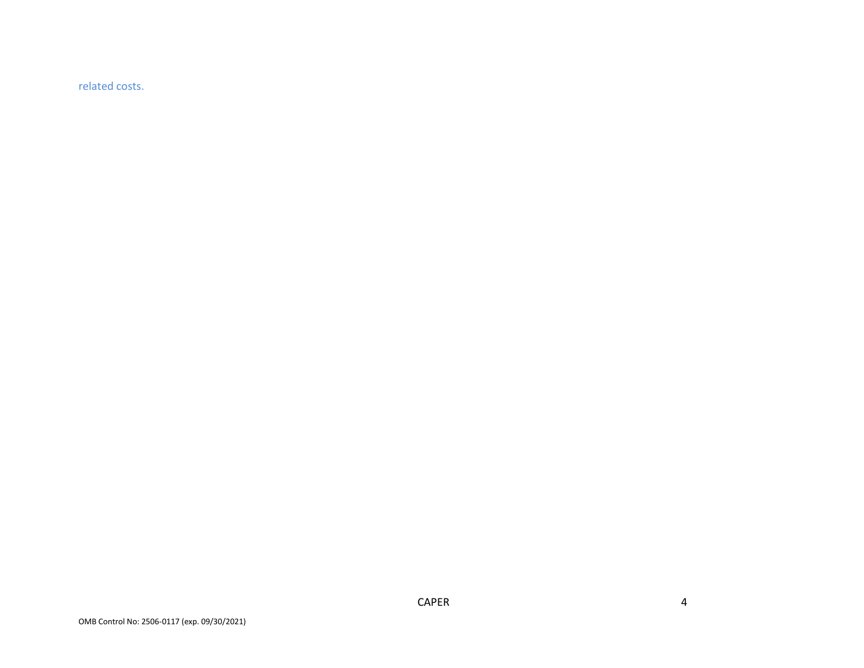related costs.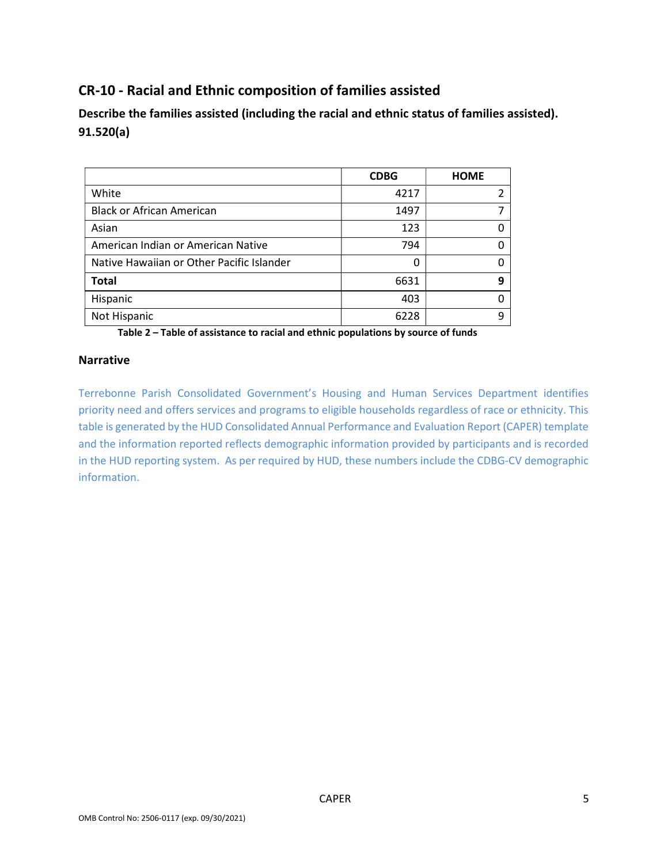# CR-10 - Racial and Ethnic composition of families assisted

Describe the families assisted (including the racial and ethnic status of families assisted). 91.520(a)

|                                           | <b>CDBG</b> | <b>HOME</b> |
|-------------------------------------------|-------------|-------------|
| White                                     | 4217        |             |
| <b>Black or African American</b>          | 1497        |             |
| Asian                                     | 123         |             |
| American Indian or American Native        | 794         |             |
| Native Hawaiian or Other Pacific Islander | 0           |             |
| <b>Total</b>                              | 6631        | q           |
| Hispanic                                  | 403         |             |
| Not Hispanic                              | 6228        | q           |

Table 2 – Table of assistance to racial and ethnic populations by source of funds

## Narrative

Terrebonne Parish Consolidated Government's Housing and Human Services Department identifies priority need and offers services and programs to eligible households regardless of race or ethnicity. This table is generated by the HUD Consolidated Annual Performance and Evaluation Report (CAPER) template and the information reported reflects demographic information provided by participants and is recorded in the HUD reporting system. As per required by HUD, these numbers include the CDBG-CV demographic information.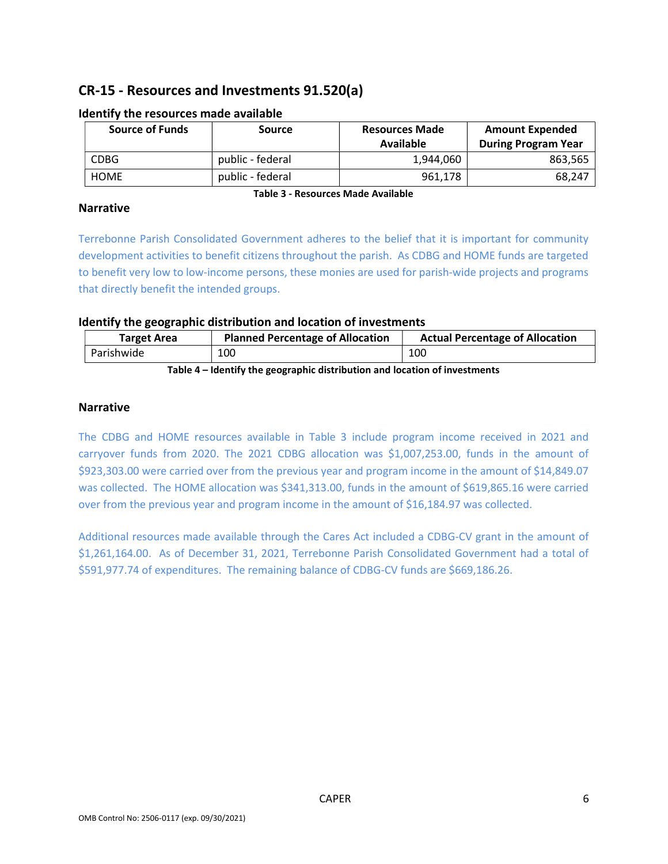# CR-15 - Resources and Investments 91.520(a)

| <b>Source of Funds</b> | <b>Source</b>    | <b>Resources Made</b><br>Available | <b>Amount Expended</b><br><b>During Program Year</b> |
|------------------------|------------------|------------------------------------|------------------------------------------------------|
| CDBG                   | public - federal | 1,944,060                          | 863,565                                              |
| <b>HOME</b>            | public - federal | 961,178                            | 68,247                                               |

## Identify the resources made available

### Narrative

Table 3 - Resources Made Available

Terrebonne Parish Consolidated Government adheres to the belief that it is important for community development activities to benefit citizens throughout the parish. As CDBG and HOME funds are targeted to benefit very low to low-income persons, these monies are used for parish-wide projects and programs that directly benefit the intended groups.

## Identify the geographic distribution and location of investments

| <b>Target Area</b>                                                                         | <b>Planned Percentage of Allocation</b> | <b>Actual Percentage of Allocation</b> |  |  |
|--------------------------------------------------------------------------------------------|-----------------------------------------|----------------------------------------|--|--|
| Parishwide                                                                                 | 100                                     | 100                                    |  |  |
| weiche An Heilenatterale er eine eine eine Healtheaten erst herraten erften eine eine eine |                                         |                                        |  |  |

Table 4 – Identify the geographic distribution and location of investments

## Narrative

The CDBG and HOME resources available in Table 3 include program income received in 2021 and carryover funds from 2020. The 2021 CDBG allocation was \$1,007,253.00, funds in the amount of \$923,303.00 were carried over from the previous year and program income in the amount of \$14,849.07 was collected. The HOME allocation was \$341,313.00, funds in the amount of \$619,865.16 were carried over from the previous year and program income in the amount of \$16,184.97 was collected.

Additional resources made available through the Cares Act included a CDBG-CV grant in the amount of \$1,261,164.00. As of December 31, 2021, Terrebonne Parish Consolidated Government had a total of \$591,977.74 of expenditures. The remaining balance of CDBG-CV funds are \$669,186.26.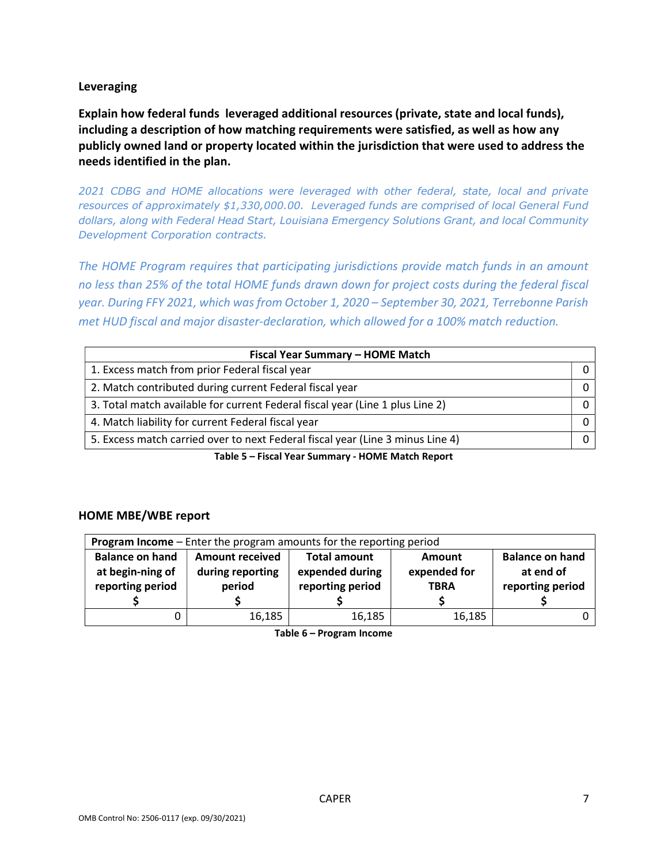## Leveraging

Explain how federal funds leveraged additional resources (private, state and local funds), including a description of how matching requirements were satisfied, as well as how any publicly owned land or property located within the jurisdiction that were used to address the needs identified in the plan.

2021 CDBG and HOME allocations were leveraged with other federal, state, local and private resources of approximately \$1,330,000.00. Leveraged funds are comprised of local General Fund dollars, along with Federal Head Start, Louisiana Emergency Solutions Grant, and local Community Development Corporation contracts.

The HOME Program requires that participating jurisdictions provide match funds in an amount no less than 25% of the total HOME funds drawn down for project costs during the federal fiscal year. During FFY 2021, which was from October 1, 2020 – September 30, 2021, Terrebonne Parish met HUD fiscal and major disaster-declaration, which allowed for a 100% match reduction.

| Fiscal Year Summary - HOME Match                                               |  |  |  |  |
|--------------------------------------------------------------------------------|--|--|--|--|
| 1. Excess match from prior Federal fiscal year                                 |  |  |  |  |
| 2. Match contributed during current Federal fiscal year                        |  |  |  |  |
| 3. Total match available for current Federal fiscal year (Line 1 plus Line 2)  |  |  |  |  |
| 4. Match liability for current Federal fiscal year                             |  |  |  |  |
| 5. Excess match carried over to next Federal fiscal year (Line 3 minus Line 4) |  |  |  |  |

Table 5 – Fiscal Year Summary - HOME Match Report

## HOME MBE/WBE report

| Program Income - Enter the program amounts for the reporting period |                                                                                          |                  |              |                  |  |  |
|---------------------------------------------------------------------|------------------------------------------------------------------------------------------|------------------|--------------|------------------|--|--|
| <b>Balance on hand</b>                                              | <b>Balance on hand</b><br><b>Total amount</b><br><b>Amount received</b><br><b>Amount</b> |                  |              |                  |  |  |
| at begin-ning of                                                    | during reporting                                                                         | expended during  | expended for | at end of        |  |  |
| reporting period                                                    | period                                                                                   | reporting period | <b>TBRA</b>  | reporting period |  |  |
|                                                                     |                                                                                          |                  |              |                  |  |  |
|                                                                     | 16,185                                                                                   | 16,185           | 16,185       |                  |  |  |

Table 6 – Program Income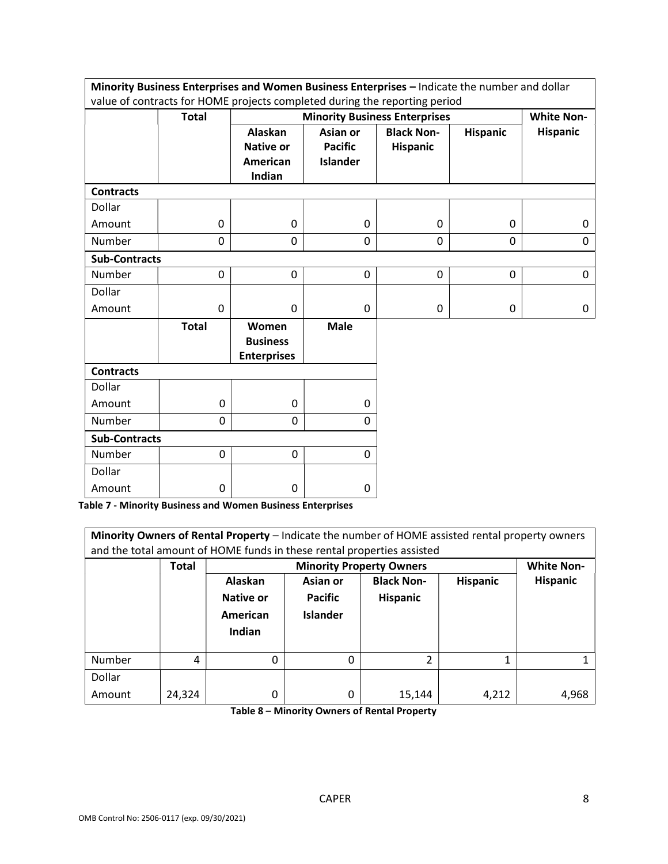|                                                                            | Minority Business Enterprises and Women Business Enterprises - Indicate the number and dollar |                                                |                 |                                      |                 |                   |  |
|----------------------------------------------------------------------------|-----------------------------------------------------------------------------------------------|------------------------------------------------|-----------------|--------------------------------------|-----------------|-------------------|--|
| value of contracts for HOME projects completed during the reporting period |                                                                                               |                                                |                 |                                      |                 |                   |  |
|                                                                            | <b>Total</b>                                                                                  |                                                |                 | <b>Minority Business Enterprises</b> |                 | <b>White Non-</b> |  |
|                                                                            |                                                                                               | Alaskan                                        | Asian or        | <b>Black Non-</b>                    | <b>Hispanic</b> | <b>Hispanic</b>   |  |
|                                                                            |                                                                                               | <b>Native or</b>                               | <b>Pacific</b>  | <b>Hispanic</b>                      |                 |                   |  |
|                                                                            |                                                                                               | American                                       | <b>Islander</b> |                                      |                 |                   |  |
|                                                                            |                                                                                               | Indian                                         |                 |                                      |                 |                   |  |
| <b>Contracts</b>                                                           |                                                                                               |                                                |                 |                                      |                 |                   |  |
| Dollar                                                                     |                                                                                               |                                                |                 |                                      |                 |                   |  |
| Amount                                                                     | 0                                                                                             | 0                                              | $\mathbf 0$     | 0                                    | 0               | 0                 |  |
| Number                                                                     | 0                                                                                             | 0                                              | 0               | 0                                    | 0               | $\Omega$          |  |
| <b>Sub-Contracts</b>                                                       |                                                                                               |                                                |                 |                                      |                 |                   |  |
| Number                                                                     | 0                                                                                             | 0                                              | $\mathbf 0$     | 0                                    | $\mathbf 0$     | 0                 |  |
| Dollar                                                                     |                                                                                               |                                                |                 |                                      |                 |                   |  |
| Amount                                                                     | 0                                                                                             | $\mathbf{0}$                                   | $\mathbf{0}$    | 0                                    | 0               | 0                 |  |
|                                                                            | <b>Total</b>                                                                                  | Women<br><b>Business</b><br><b>Enterprises</b> | <b>Male</b>     |                                      |                 |                   |  |
| <b>Contracts</b>                                                           |                                                                                               |                                                |                 |                                      |                 |                   |  |
| Dollar                                                                     |                                                                                               |                                                |                 |                                      |                 |                   |  |
| Amount                                                                     | 0                                                                                             | 0                                              | 0               |                                      |                 |                   |  |
| Number                                                                     | 0                                                                                             | 0                                              | 0               |                                      |                 |                   |  |
| <b>Sub-Contracts</b>                                                       |                                                                                               |                                                |                 |                                      |                 |                   |  |
| Number                                                                     | 0                                                                                             | 0                                              | 0               |                                      |                 |                   |  |
| Dollar                                                                     |                                                                                               |                                                |                 |                                      |                 |                   |  |
| Amount                                                                     | 0                                                                                             | 0                                              | 0               |                                      |                 |                   |  |

Table 7 - Minority Business and Women Business Enterprises

| Minority Owners of Rental Property - Indicate the number of HOME assisted rental property owners<br>and the total amount of HOME funds in these rental properties assisted |              |                                            |                                                      |                                      |                 |                 |
|----------------------------------------------------------------------------------------------------------------------------------------------------------------------------|--------------|--------------------------------------------|------------------------------------------------------|--------------------------------------|-----------------|-----------------|
|                                                                                                                                                                            | <b>Total</b> |                                            | <b>White Non-</b><br><b>Minority Property Owners</b> |                                      |                 |                 |
|                                                                                                                                                                            |              | Alaskan<br>Native or<br>American<br>Indian | Asian or<br><b>Pacific</b><br><b>Islander</b>        | <b>Black Non-</b><br><b>Hispanic</b> | <b>Hispanic</b> | <b>Hispanic</b> |
| Number                                                                                                                                                                     | 4            | $\Omega$                                   | 0                                                    | $\overline{\phantom{a}}$             |                 |                 |
| Dollar                                                                                                                                                                     |              |                                            |                                                      |                                      |                 |                 |
| Amount                                                                                                                                                                     | 24,324       | 0                                          | 0                                                    | 15,144                               | 4,212           | 4,968           |

Table 8 – Minority Owners of Rental Property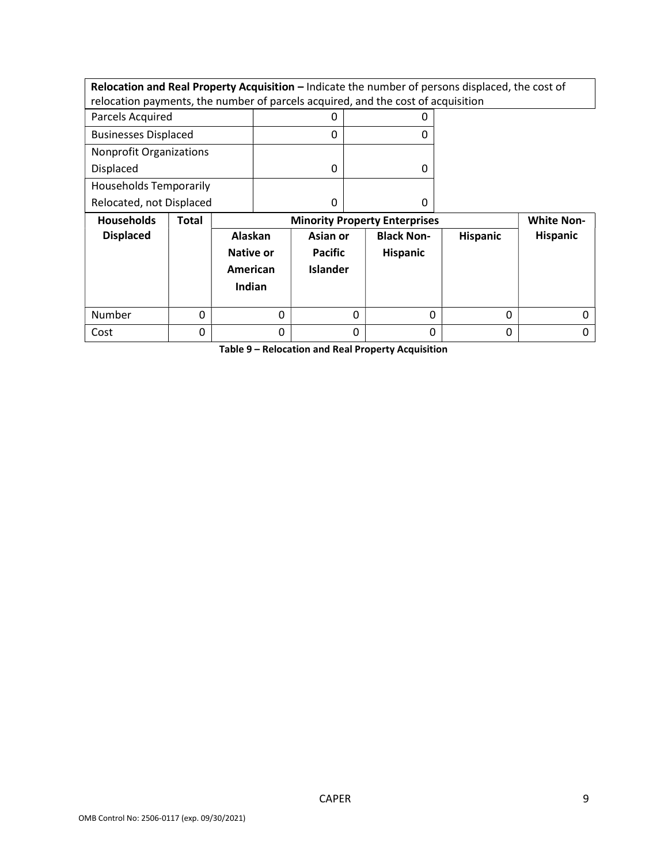Relocation and Real Property Acquisition – Indicate the number of persons displaced, the cost of relocation payments, the number of parcels acquired, and the cost of acquisition

| Parcels Acquired               |  |
|--------------------------------|--|
| <b>Businesses Displaced</b>    |  |
| <b>Nonprofit Organizations</b> |  |
| Displaced                      |  |
| <b>Households Temporarily</b>  |  |
| Relocated, not Displaced       |  |

| <b>Households</b> | <b>Total</b> |                                                   |                                               | <b>Minority Property Enterprises</b> |                 | <b>White Non-</b> |  |
|-------------------|--------------|---------------------------------------------------|-----------------------------------------------|--------------------------------------|-----------------|-------------------|--|
| <b>Displaced</b>  |              | Alaskan<br><b>Native or</b><br>American<br>Indian | Asian or<br><b>Pacific</b><br><b>Islander</b> | <b>Black Non-</b><br>Hispanic        | <b>Hispanic</b> | <b>Hispanic</b>   |  |
| Number            | 0            |                                                   | 0                                             |                                      | 0               | 0                 |  |
| Cost              |              | 0                                                 | 0                                             |                                      | 0               | 0                 |  |

Table 9 – Relocation and Real Property Acquisition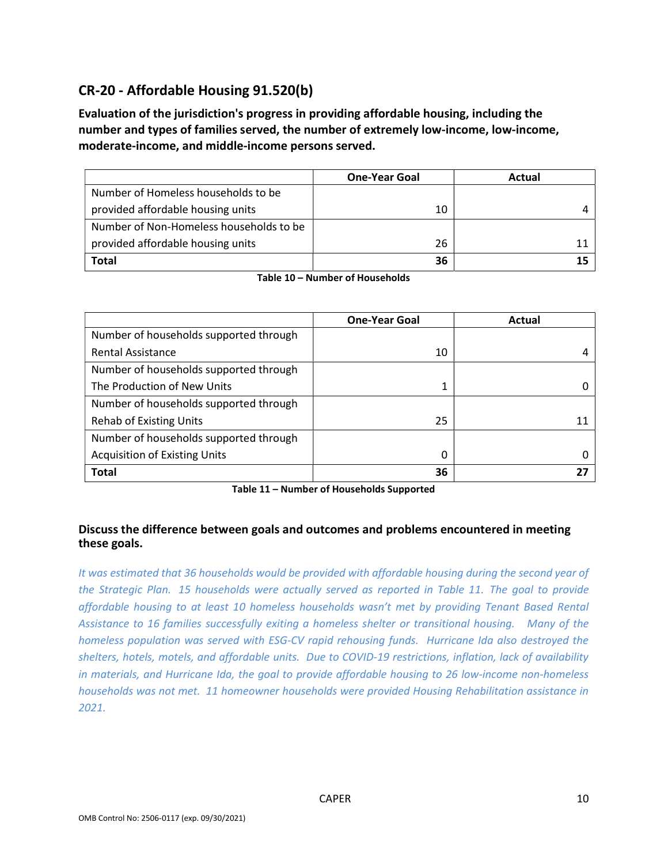# CR-20 - Affordable Housing 91.520(b)

Evaluation of the jurisdiction's progress in providing affordable housing, including the number and types of families served, the number of extremely low-income, low-income, moderate-income, and middle-income persons served.

|                                         | <b>One-Year Goal</b> | Actual |
|-----------------------------------------|----------------------|--------|
| Number of Homeless households to be     |                      |        |
| provided affordable housing units       | 10                   |        |
| Number of Non-Homeless households to be |                      |        |
| provided affordable housing units       | 26                   |        |
| Total                                   | 36                   |        |

Table 10 – Number of Households

|                                        | <b>One-Year Goal</b> | Actual |
|----------------------------------------|----------------------|--------|
| Number of households supported through |                      |        |
| <b>Rental Assistance</b>               | 10                   |        |
| Number of households supported through |                      |        |
| The Production of New Units            |                      |        |
| Number of households supported through |                      |        |
| <b>Rehab of Existing Units</b>         | 25                   |        |
| Number of households supported through |                      |        |
| <b>Acquisition of Existing Units</b>   | 0                    |        |
| <b>Total</b>                           | 36                   |        |

Table 11 – Number of Households Supported

# Discuss the difference between goals and outcomes and problems encountered in meeting these goals.

It was estimated that 36 households would be provided with affordable housing during the second year of the Strategic Plan. 15 households were actually served as reported in Table 11. The goal to provide affordable housing to at least 10 homeless households wasn't met by providing Tenant Based Rental Assistance to 16 families successfully exiting a homeless shelter or transitional housing. Many of the homeless population was served with ESG-CV rapid rehousing funds. Hurricane Ida also destroyed the shelters, hotels, motels, and affordable units. Due to COVID-19 restrictions, inflation, lack of availability in materials, and Hurricane Ida, the goal to provide affordable housing to 26 low-income non-homeless households was not met. 11 homeowner households were provided Housing Rehabilitation assistance in 2021.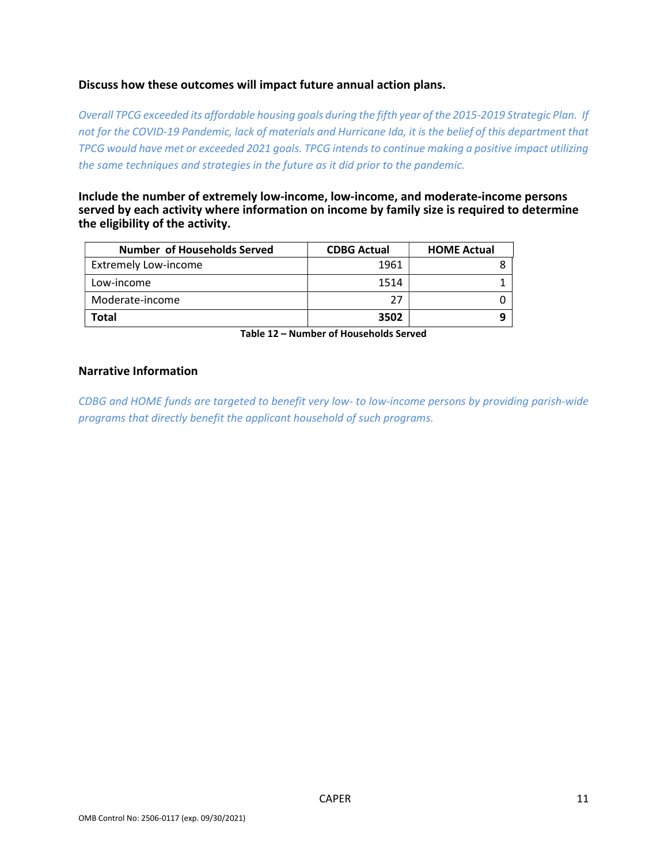## Discuss how these outcomes will impact future annual action plans.

Overall TPCG exceeded its affordable housing goals during the fifth year of the 2015-2019 Strategic Plan. If not for the COVID-19 Pandemic, lack of materials and Hurricane Ida, it is the belief of this department that TPCG would have met or exceeded 2021 goals. TPCG intends to continue making a positive impact utilizing the same techniques and strategies in the future as it did prior to the pandemic.

Include the number of extremely low-income, low-income, and moderate-income persons served by each activity where information on income by family size is required to determine the eligibility of the activity.

| Number of Households Served | <b>CDBG Actual</b> | <b>HOME Actual</b> |
|-----------------------------|--------------------|--------------------|
| <b>Extremely Low-income</b> | 1961               |                    |
| Low-income                  | 1514               |                    |
| Moderate-income             | 27                 |                    |
| Total                       | 3502               |                    |

Table 12 – Number of Households Served

## Narrative Information

CDBG and HOME funds are targeted to benefit very low- to low-income persons by providing parish-wide programs that directly benefit the applicant household of such programs.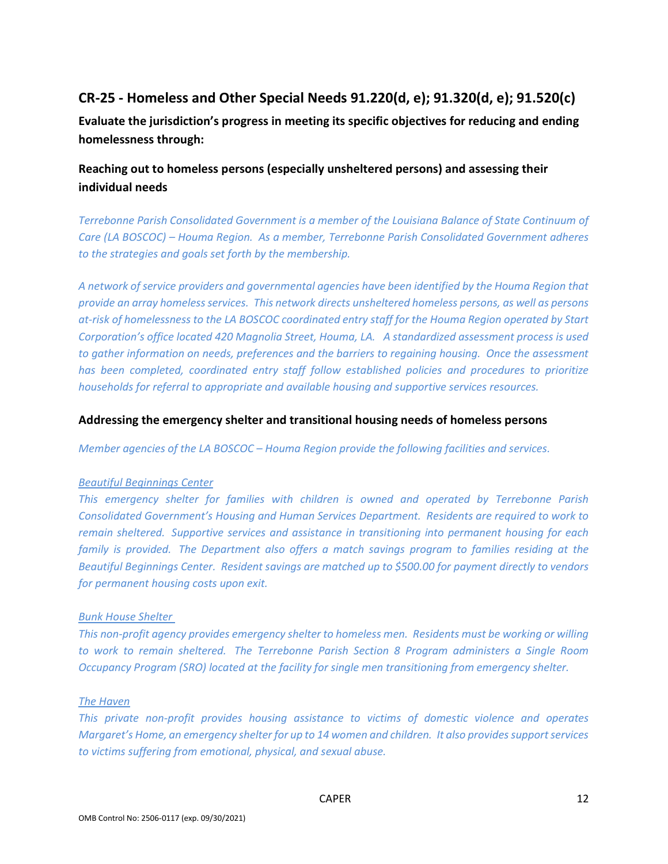# CR-25 - Homeless and Other Special Needs 91.220(d, e); 91.320(d, e); 91.520(c)

Evaluate the jurisdiction's progress in meeting its specific objectives for reducing and ending homelessness through:

# Reaching out to homeless persons (especially unsheltered persons) and assessing their individual needs

Terrebonne Parish Consolidated Government is a member of the Louisiana Balance of State Continuum of Care (LA BOSCOC) – Houma Region. As a member, Terrebonne Parish Consolidated Government adheres to the strategies and goals set forth by the membership.

A network of service providers and governmental agencies have been identified by the Houma Region that provide an array homeless services. This network directs unsheltered homeless persons, as well as persons at-risk of homelessness to the LA BOSCOC coordinated entry staff for the Houma Region operated by Start Corporation's office located 420 Magnolia Street, Houma, LA. A standardized assessment process is used to gather information on needs, preferences and the barriers to regaining housing. Once the assessment has been completed, coordinated entry staff follow established policies and procedures to prioritize households for referral to appropriate and available housing and supportive services resources.

## Addressing the emergency shelter and transitional housing needs of homeless persons

Member agencies of the LA BOSCOC – Houma Region provide the following facilities and services.

## Beautiful Beginnings Center

This emergency shelter for families with children is owned and operated by Terrebonne Parish Consolidated Government's Housing and Human Services Department. Residents are required to work to remain sheltered. Supportive services and assistance in transitioning into permanent housing for each family is provided. The Department also offers a match savings program to families residing at the Beautiful Beginnings Center. Resident savings are matched up to \$500.00 for payment directly to vendors for permanent housing costs upon exit.

## Bunk House Shelter

This non-profit agency provides emergency shelter to homeless men. Residents must be working or willing to work to remain sheltered. The Terrebonne Parish Section 8 Program administers a Single Room Occupancy Program (SRO) located at the facility for single men transitioning from emergency shelter.

### The Haven

This private non-profit provides housing assistance to victims of domestic violence and operates Margaret's Home, an emergency shelter for up to 14 women and children. It also provides support services to victims suffering from emotional, physical, and sexual abuse.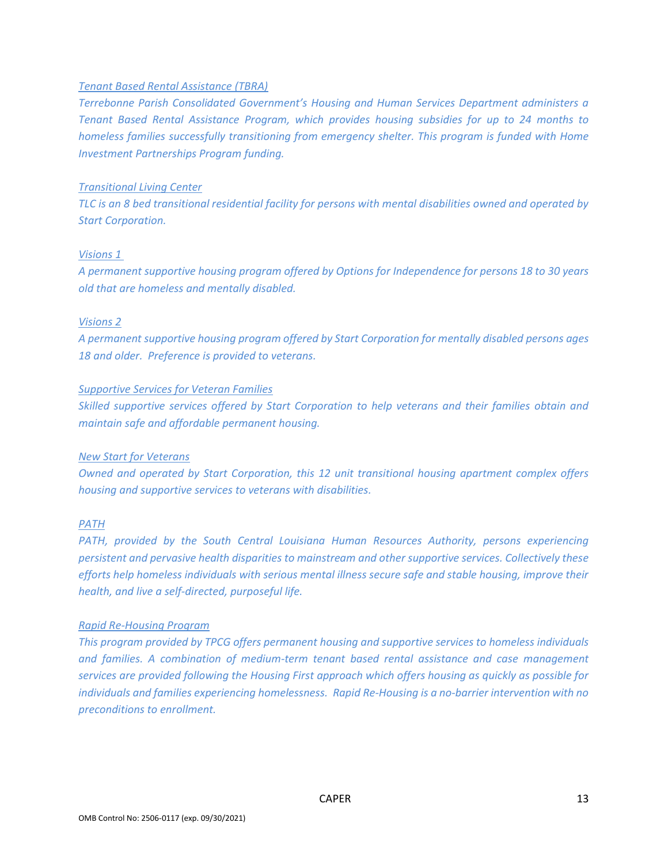## Tenant Based Rental Assistance (TBRA)

Terrebonne Parish Consolidated Government's Housing and Human Services Department administers a Tenant Based Rental Assistance Program, which provides housing subsidies for up to 24 months to homeless families successfully transitioning from emergency shelter. This program is funded with Home Investment Partnerships Program funding.

## Transitional Living Center

TLC is an 8 bed transitional residential facility for persons with mental disabilities owned and operated by Start Corporation.

## Visions 1

A permanent supportive housing program offered by Options for Independence for persons 18 to 30 years old that are homeless and mentally disabled.

## Visions 2

A permanent supportive housing program offered by Start Corporation for mentally disabled persons ages 18 and older. Preference is provided to veterans.

## Supportive Services for Veteran Families

Skilled supportive services offered by Start Corporation to help veterans and their families obtain and maintain safe and affordable permanent housing.

#### New Start for Veterans

Owned and operated by Start Corporation, this 12 unit transitional housing apartment complex offers housing and supportive services to veterans with disabilities.

## PATH

PATH, provided by the South Central Louisiana Human Resources Authority, persons experiencing persistent and pervasive health disparities to mainstream and other supportive services. Collectively these efforts help homeless individuals with serious mental illness secure safe and stable housing, improve their health, and live a self-directed, purposeful life.

#### Rapid Re-Housing Program

This program provided by TPCG offers permanent housing and supportive services to homeless individuals and families. A combination of medium-term tenant based rental assistance and case management services are provided following the Housing First approach which offers housing as quickly as possible for individuals and families experiencing homelessness. Rapid Re-Housing is a no-barrier intervention with no preconditions to enrollment.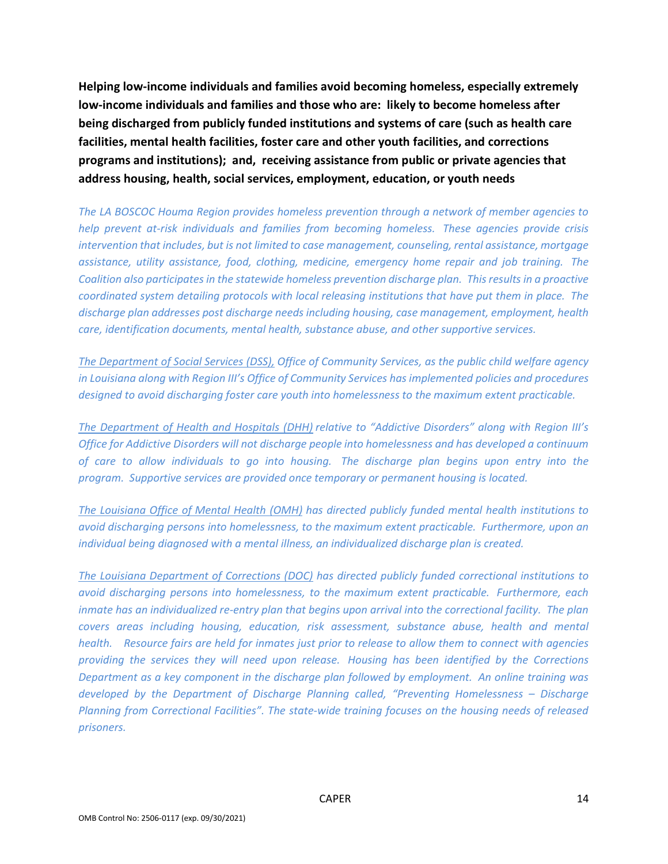Helping low-income individuals and families avoid becoming homeless, especially extremely low-income individuals and families and those who are: likely to become homeless after being discharged from publicly funded institutions and systems of care (such as health care facilities, mental health facilities, foster care and other youth facilities, and corrections programs and institutions); and, receiving assistance from public or private agencies that address housing, health, social services, employment, education, or youth needs

The LA BOSCOC Houma Region provides homeless prevention through a network of member agencies to help prevent at-risk individuals and families from becoming homeless. These agencies provide crisis intervention that includes, but is not limited to case management, counseling, rental assistance, mortgage assistance, utility assistance, food, clothing, medicine, emergency home repair and job training. The Coalition also participates in the statewide homeless prevention discharge plan. This results in a proactive coordinated system detailing protocols with local releasing institutions that have put them in place. The discharge plan addresses post discharge needs including housing, case management, employment, health care, identification documents, mental health, substance abuse, and other supportive services.

The Department of Social Services (DSS), Office of Community Services, as the public child welfare agency in Louisiana along with Region III's Office of Community Services has implemented policies and procedures designed to avoid discharging foster care youth into homelessness to the maximum extent practicable.

The Department of Health and Hospitals (DHH) relative to "Addictive Disorders" along with Region III's Office for Addictive Disorders will not discharge people into homelessness and has developed a continuum of care to allow individuals to go into housing. The discharge plan begins upon entry into the program. Supportive services are provided once temporary or permanent housing is located.

The Louisiana Office of Mental Health (OMH) has directed publicly funded mental health institutions to avoid discharging persons into homelessness, to the maximum extent practicable. Furthermore, upon an individual being diagnosed with a mental illness, an individualized discharge plan is created.

The Louisiana Department of Corrections (DOC) has directed publicly funded correctional institutions to avoid discharging persons into homelessness, to the maximum extent practicable. Furthermore, each inmate has an individualized re-entry plan that begins upon arrival into the correctional facility. The plan covers areas including housing, education, risk assessment, substance abuse, health and mental health. Resource fairs are held for inmates just prior to release to allow them to connect with agencies providing the services they will need upon release. Housing has been identified by the Corrections Department as a key component in the discharge plan followed by employment. An online training was developed by the Department of Discharge Planning called, "Preventing Homelessness – Discharge Planning from Correctional Facilities". The state-wide training focuses on the housing needs of released prisoners.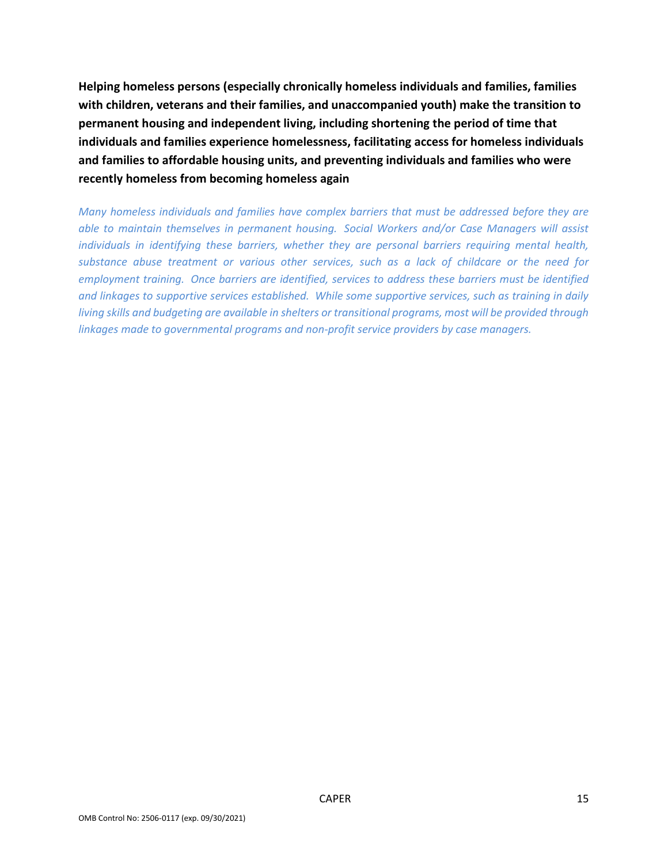Helping homeless persons (especially chronically homeless individuals and families, families with children, veterans and their families, and unaccompanied youth) make the transition to permanent housing and independent living, including shortening the period of time that individuals and families experience homelessness, facilitating access for homeless individuals and families to affordable housing units, and preventing individuals and families who were recently homeless from becoming homeless again

Many homeless individuals and families have complex barriers that must be addressed before they are able to maintain themselves in permanent housing. Social Workers and/or Case Managers will assist individuals in identifying these barriers, whether they are personal barriers requiring mental health, substance abuse treatment or various other services, such as a lack of childcare or the need for employment training. Once barriers are identified, services to address these barriers must be identified and linkages to supportive services established. While some supportive services, such as training in daily living skills and budgeting are available in shelters or transitional programs, most will be provided through linkages made to governmental programs and non-profit service providers by case managers.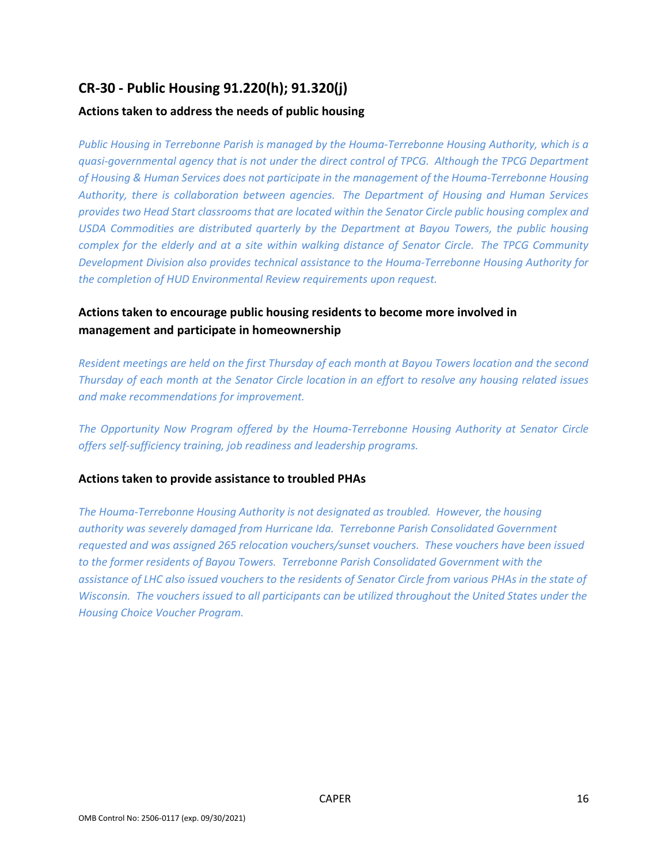# CR-30 - Public Housing 91.220(h); 91.320(j)

## Actions taken to address the needs of public housing

Public Housing in Terrebonne Parish is managed by the Houma-Terrebonne Housing Authority, which is a quasi-governmental agency that is not under the direct control of TPCG. Although the TPCG Department of Housing & Human Services does not participate in the management of the Houma-Terrebonne Housing Authority, there is collaboration between agencies. The Department of Housing and Human Services provides two Head Start classrooms that are located within the Senator Circle public housing complex and USDA Commodities are distributed quarterly by the Department at Bayou Towers, the public housing complex for the elderly and at a site within walking distance of Senator Circle. The TPCG Community Development Division also provides technical assistance to the Houma-Terrebonne Housing Authority for the completion of HUD Environmental Review requirements upon request.

# Actions taken to encourage public housing residents to become more involved in management and participate in homeownership

Resident meetings are held on the first Thursday of each month at Bayou Towers location and the second Thursday of each month at the Senator Circle location in an effort to resolve any housing related issues and make recommendations for improvement.

The Opportunity Now Program offered by the Houma-Terrebonne Housing Authority at Senator Circle offers self-sufficiency training, job readiness and leadership programs.

## Actions taken to provide assistance to troubled PHAs

The Houma-Terrebonne Housing Authority is not designated as troubled. However, the housing authority was severely damaged from Hurricane Ida. Terrebonne Parish Consolidated Government requested and was assigned 265 relocation vouchers/sunset vouchers. These vouchers have been issued to the former residents of Bayou Towers. Terrebonne Parish Consolidated Government with the assistance of LHC also issued vouchers to the residents of Senator Circle from various PHAs in the state of Wisconsin. The vouchers issued to all participants can be utilized throughout the United States under the Housing Choice Voucher Program.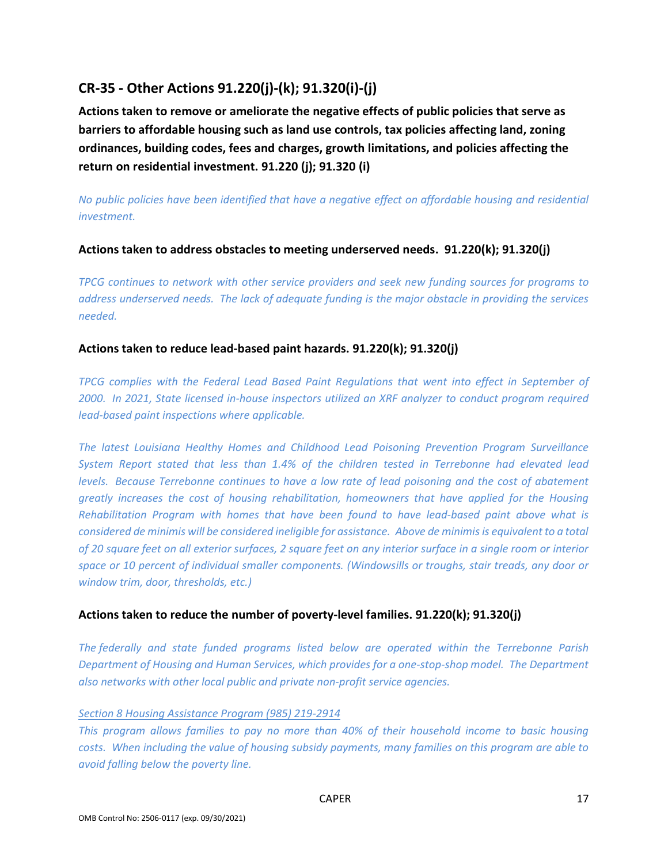# CR-35 - Other Actions 91.220(j)-(k); 91.320(i)-(j)

Actions taken to remove or ameliorate the negative effects of public policies that serve as barriers to affordable housing such as land use controls, tax policies affecting land, zoning ordinances, building codes, fees and charges, growth limitations, and policies affecting the return on residential investment. 91.220 (j); 91.320 (i)

No public policies have been identified that have a negative effect on affordable housing and residential investment.

# Actions taken to address obstacles to meeting underserved needs. 91.220(k); 91.320(j)

TPCG continues to network with other service providers and seek new funding sources for programs to address underserved needs. The lack of adequate funding is the major obstacle in providing the services needed.

## Actions taken to reduce lead-based paint hazards. 91.220(k); 91.320(j)

TPCG complies with the Federal Lead Based Paint Regulations that went into effect in September of 2000. In 2021, State licensed in-house inspectors utilized an XRF analyzer to conduct program required lead-based paint inspections where applicable.

The latest Louisiana Healthy Homes and Childhood Lead Poisoning Prevention Program Surveillance System Report stated that less than 1.4% of the children tested in Terrebonne had elevated lead levels. Because Terrebonne continues to have a low rate of lead poisoning and the cost of abatement greatly increases the cost of housing rehabilitation, homeowners that have applied for the Housing Rehabilitation Program with homes that have been found to have lead-based paint above what is considered de minimis will be considered ineligible for assistance. Above de minimis is equivalent to a total of 20 square feet on all exterior surfaces, 2 square feet on any interior surface in a single room or interior space or 10 percent of individual smaller components. (Windowsills or troughs, stair treads, any door or window trim, door, thresholds, etc.)

# Actions taken to reduce the number of poverty-level families. 91.220(k); 91.320(j)

The federally and state funded programs listed below are operated within the Terrebonne Parish Department of Housing and Human Services, which provides for a one-stop-shop model. The Department also networks with other local public and private non-profit service agencies.

## Section 8 Housing Assistance Program (985) 219-2914

This program allows families to pay no more than 40% of their household income to basic housing costs. When including the value of housing subsidy payments, many families on this program are able to avoid falling below the poverty line.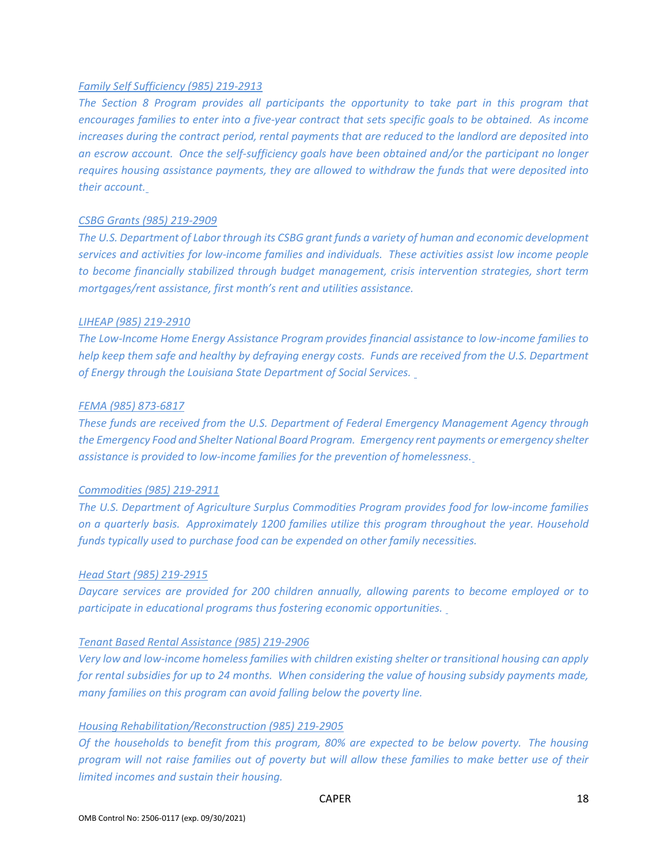#### Family Self Sufficiency (985) 219-2913

The Section 8 Program provides all participants the opportunity to take part in this program that encourages families to enter into a five-year contract that sets specific goals to be obtained. As income increases during the contract period, rental payments that are reduced to the landlord are deposited into an escrow account. Once the self-sufficiency goals have been obtained and/or the participant no longer requires housing assistance payments, they are allowed to withdraw the funds that were deposited into their account.

#### CSBG Grants (985) 219-2909

The U.S. Department of Labor through its CSBG grant funds a variety of human and economic development services and activities for low-income families and individuals. These activities assist low income people to become financially stabilized through budget management, crisis intervention strategies, short term mortgages/rent assistance, first month's rent and utilities assistance.

#### LIHEAP (985) 219-2910

The Low-Income Home Energy Assistance Program provides financial assistance to low-income families to help keep them safe and healthy by defraying energy costs. Funds are received from the U.S. Department of Energy through the Louisiana State Department of Social Services.

#### FEMA (985) 873-6817

These funds are received from the U.S. Department of Federal Emergency Management Agency through the Emergency Food and Shelter National Board Program. Emergency rent payments or emergency shelter assistance is provided to low-income families for the prevention of homelessness.

#### Commodities (985) 219-2911

The U.S. Department of Agriculture Surplus Commodities Program provides food for low-income families on a quarterly basis. Approximately 1200 families utilize this program throughout the year. Household funds typically used to purchase food can be expended on other family necessities.

#### Head Start (985) 219-2915

Daycare services are provided for 200 children annually, allowing parents to become employed or to participate in educational programs thus fostering economic opportunities.

#### Tenant Based Rental Assistance (985) 219-2906

Very low and low-income homeless families with children existing shelter or transitional housing can apply for rental subsidies for up to 24 months. When considering the value of housing subsidy payments made, many families on this program can avoid falling below the poverty line.

#### Housing Rehabilitation/Reconstruction (985) 219-2905

Of the households to benefit from this program, 80% are expected to be below poverty. The housing program will not raise families out of poverty but will allow these families to make better use of their limited incomes and sustain their housing.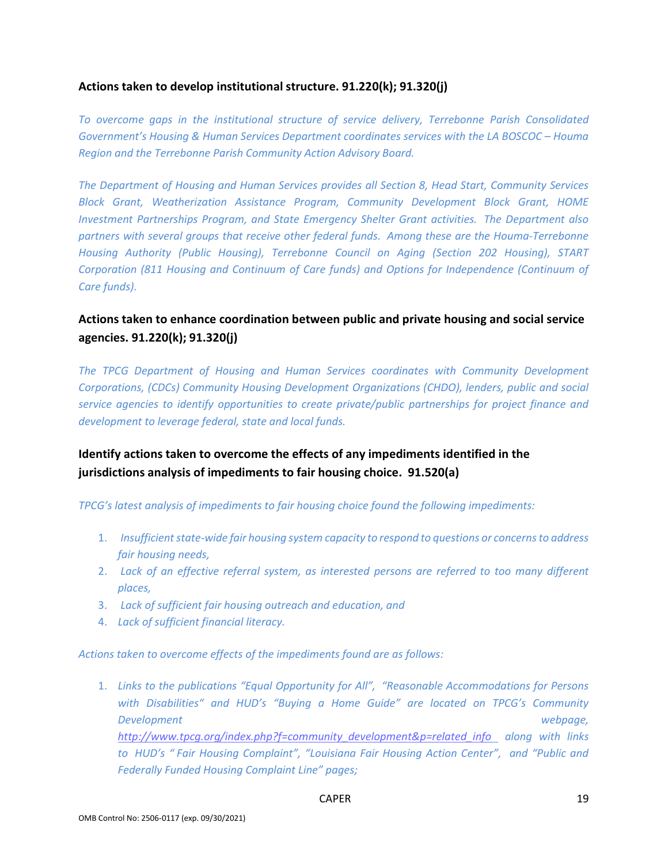## Actions taken to develop institutional structure. 91.220(k); 91.320(j)

To overcome gaps in the institutional structure of service delivery, Terrebonne Parish Consolidated Government's Housing & Human Services Department coordinates services with the LA BOSCOC – Houma Region and the Terrebonne Parish Community Action Advisory Board.

The Department of Housing and Human Services provides all Section 8, Head Start, Community Services Block Grant, Weatherization Assistance Program, Community Development Block Grant, HOME Investment Partnerships Program, and State Emergency Shelter Grant activities. The Department also partners with several groups that receive other federal funds. Among these are the Houma-Terrebonne Housing Authority (Public Housing), Terrebonne Council on Aging (Section 202 Housing), START Corporation (811 Housing and Continuum of Care funds) and Options for Independence (Continuum of Care funds).

# Actions taken to enhance coordination between public and private housing and social service agencies. 91.220(k); 91.320(j)

The TPCG Department of Housing and Human Services coordinates with Community Development Corporations, (CDCs) Community Housing Development Organizations (CHDO), lenders, public and social service agencies to identify opportunities to create private/public partnerships for project finance and development to leverage federal, state and local funds.

# Identify actions taken to overcome the effects of any impediments identified in the jurisdictions analysis of impediments to fair housing choice. 91.520(a)

TPCG's latest analysis of impediments to fair housing choice found the following impediments:

- 1. Insufficient state-wide fair housing system capacity to respond to questions or concerns to address fair housing needs,
- 2. Lack of an effective referral system, as interested persons are referred to too many different places,
- 3. Lack of sufficient fair housing outreach and education, and
- 4. Lack of sufficient financial literacy.

Actions taken to overcome effects of the impediments found are as follows:

1. Links to the publications "Equal Opportunity for All", "Reasonable Accommodations for Persons with Disabilities" and HUD's "Buying a Home Guide" are located on TPCG's Community Development webpage, http://www.tpcq.org/index.php?f=community\_development&p=related\_info along with links to HUD's " Fair Housing Complaint", "Louisiana Fair Housing Action Center", and "Public and Federally Funded Housing Complaint Line" pages;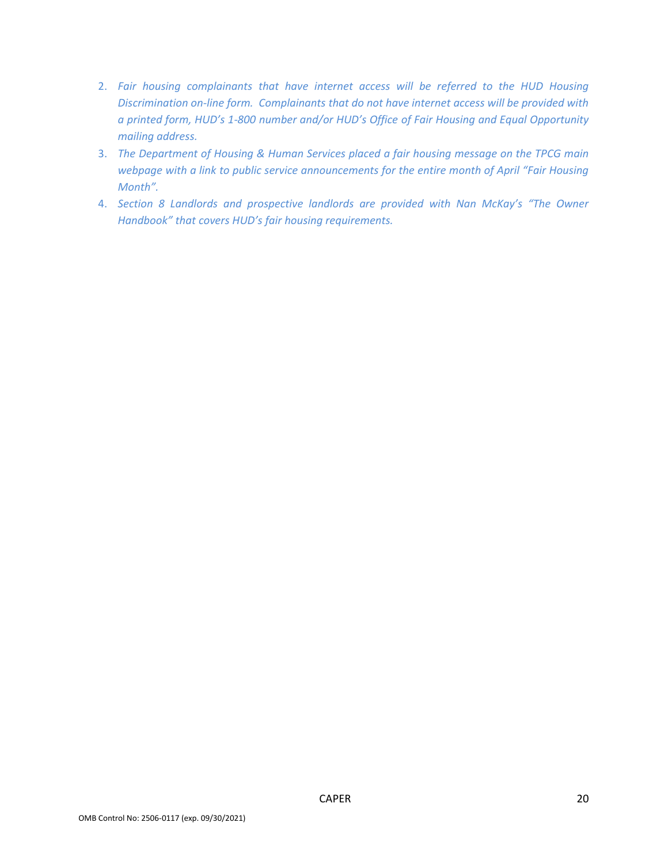- 2. Fair housing complainants that have internet access will be referred to the HUD Housing Discrimination on-line form. Complainants that do not have internet access will be provided with a printed form, HUD's 1-800 number and/or HUD's Office of Fair Housing and Equal Opportunity mailing address.
- 3. The Department of Housing & Human Services placed a fair housing message on the TPCG main webpage with a link to public service announcements for the entire month of April "Fair Housing Month".
- 4. Section 8 Landlords and prospective landlords are provided with Nan McKay's "The Owner Handbook" that covers HUD's fair housing requirements.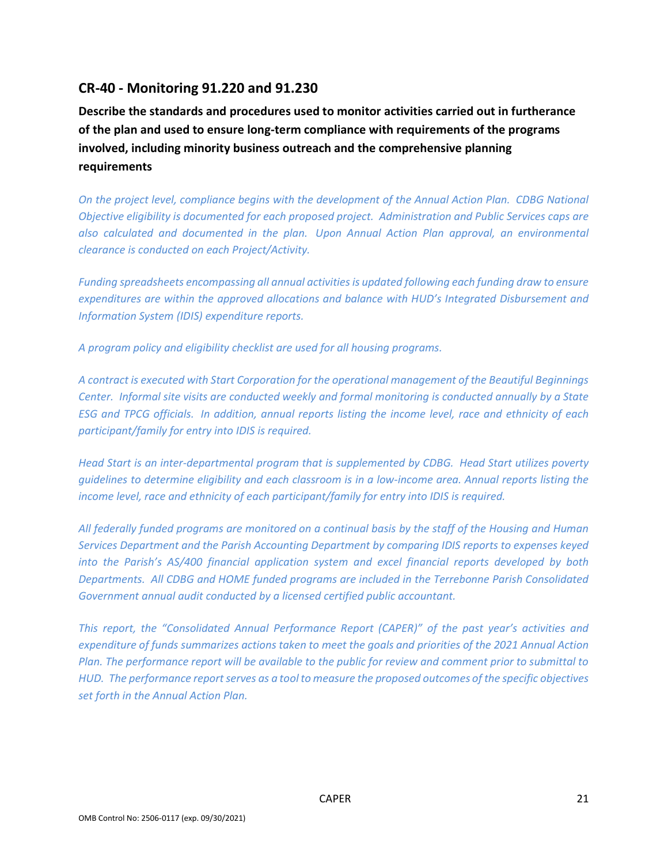# CR-40 - Monitoring 91.220 and 91.230

Describe the standards and procedures used to monitor activities carried out in furtherance of the plan and used to ensure long-term compliance with requirements of the programs involved, including minority business outreach and the comprehensive planning requirements

On the project level, compliance begins with the development of the Annual Action Plan. CDBG National Objective eligibility is documented for each proposed project. Administration and Public Services caps are also calculated and documented in the plan. Upon Annual Action Plan approval, an environmental clearance is conducted on each Project/Activity.

Funding spreadsheets encompassing all annual activities is updated following each funding draw to ensure expenditures are within the approved allocations and balance with HUD's Integrated Disbursement and Information System (IDIS) expenditure reports.

A program policy and eligibility checklist are used for all housing programs.

A contract is executed with Start Corporation for the operational management of the Beautiful Beginnings Center. Informal site visits are conducted weekly and formal monitoring is conducted annually by a State ESG and TPCG officials. In addition, annual reports listing the income level, race and ethnicity of each participant/family for entry into IDIS is required.

Head Start is an inter-departmental program that is supplemented by CDBG. Head Start utilizes poverty guidelines to determine eligibility and each classroom is in a low-income area. Annual reports listing the income level, race and ethnicity of each participant/family for entry into IDIS is required.

All federally funded programs are monitored on a continual basis by the staff of the Housing and Human Services Department and the Parish Accounting Department by comparing IDIS reports to expenses keyed into the Parish's AS/400 financial application system and excel financial reports developed by both Departments. All CDBG and HOME funded programs are included in the Terrebonne Parish Consolidated Government annual audit conducted by a licensed certified public accountant.

This report, the "Consolidated Annual Performance Report (CAPER)" of the past year's activities and expenditure of funds summarizes actions taken to meet the goals and priorities of the 2021 Annual Action Plan. The performance report will be available to the public for review and comment prior to submittal to HUD. The performance report serves as a tool to measure the proposed outcomes of the specific objectives set forth in the Annual Action Plan.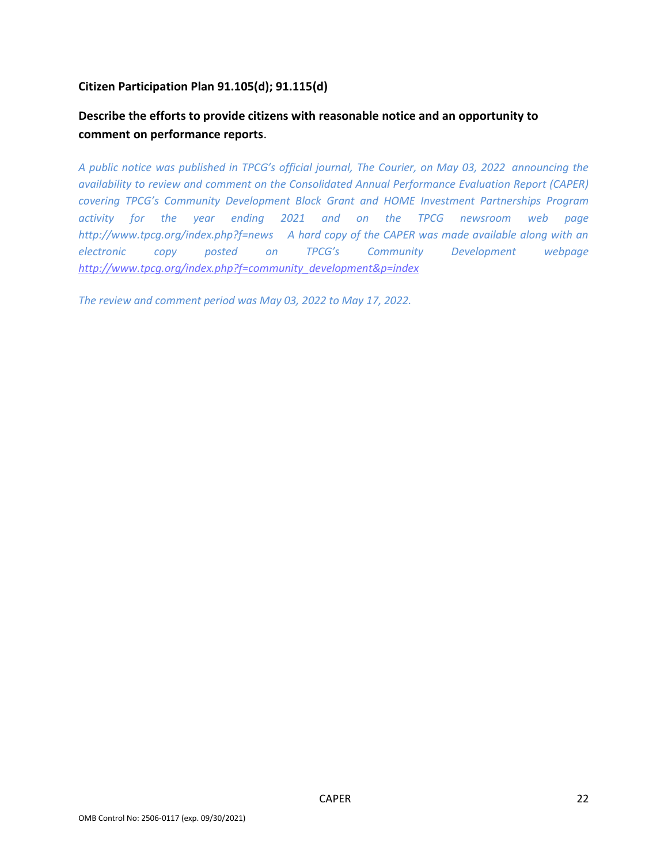# Citizen Participation Plan 91.105(d); 91.115(d)

# Describe the efforts to provide citizens with reasonable notice and an opportunity to comment on performance reports.

A public notice was published in TPCG's official journal, The Courier, on May 03, 2022 announcing the availability to review and comment on the Consolidated Annual Performance Evaluation Report (CAPER) covering TPCG's Community Development Block Grant and HOME Investment Partnerships Program activity for the year ending 2021 and on the TPCG newsroom web page http://www.tpcq.org/index.php?f=news A hard copy of the CAPER was made available along with an electronic copy posted on TPCG's Community Development webpage http://www.tpcq.org/index.php?f=community\_development&p=index

The review and comment period was May 03, 2022 to May 17, 2022.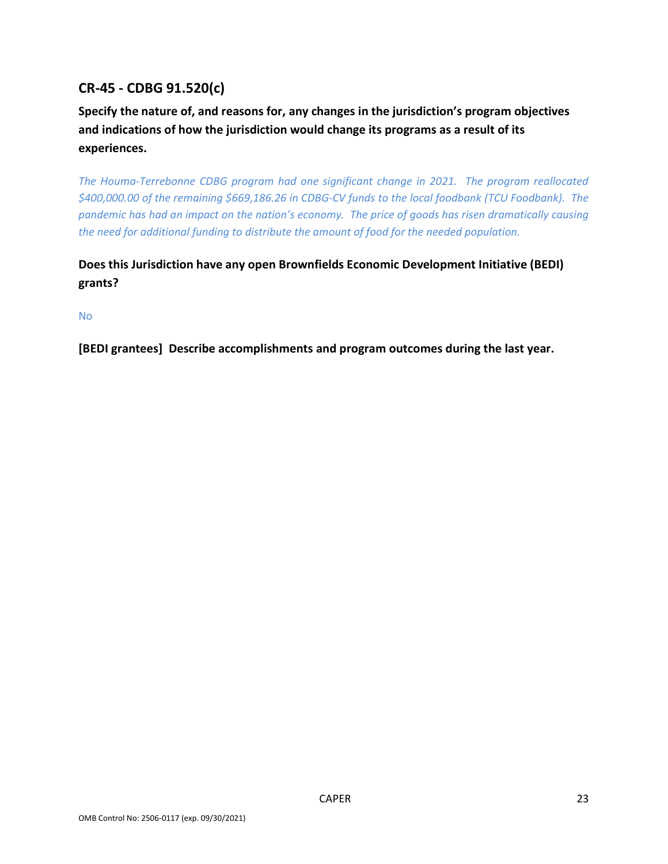# CR-45 - CDBG 91.520(c)

Specify the nature of, and reasons for, any changes in the jurisdiction's program objectives and indications of how the jurisdiction would change its programs as a result of its experiences.

The Houma-Terrebonne CDBG program had one significant change in 2021. The program reallocated \$400,000.00 of the remaining \$669,186.26 in CDBG-CV funds to the local foodbank (TCU Foodbank). The pandemic has had an impact on the nation's economy. The price of goods has risen dramatically causing the need for additional funding to distribute the amount of food for the needed population.

# Does this Jurisdiction have any open Brownfields Economic Development Initiative (BEDI) grants?

No

[BEDI grantees] Describe accomplishments and program outcomes during the last year.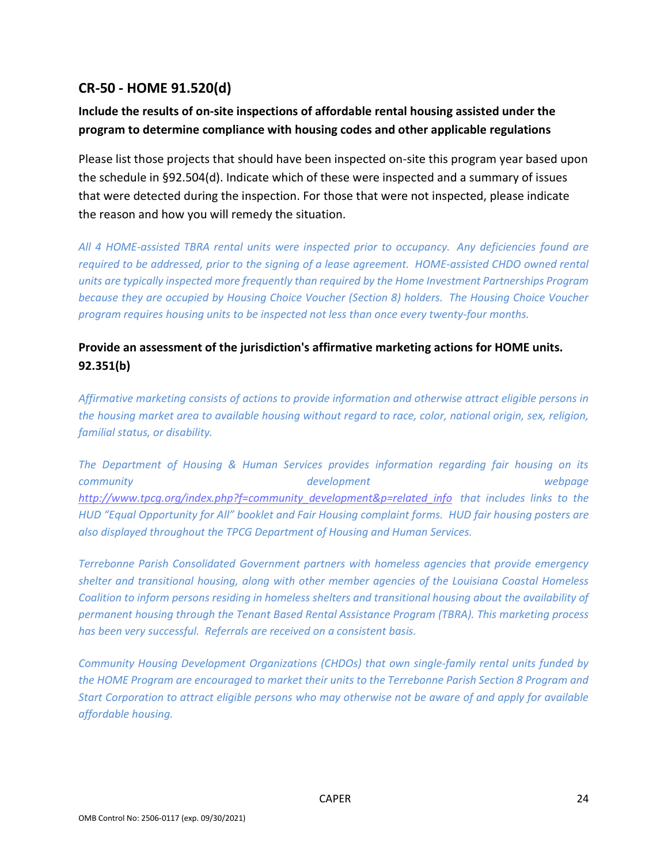# CR-50 - HOME 91.520(d)

# Include the results of on-site inspections of affordable rental housing assisted under the program to determine compliance with housing codes and other applicable regulations

Please list those projects that should have been inspected on-site this program year based upon the schedule in §92.504(d). Indicate which of these were inspected and a summary of issues that were detected during the inspection. For those that were not inspected, please indicate the reason and how you will remedy the situation.

All 4 HOME-assisted TBRA rental units were inspected prior to occupancy. Any deficiencies found are required to be addressed, prior to the signing of a lease agreement. HOME-assisted CHDO owned rental units are typically inspected more frequently than required by the Home Investment Partnerships Program because they are occupied by Housing Choice Voucher (Section 8) holders. The Housing Choice Voucher program requires housing units to be inspected not less than once every twenty-four months.

# Provide an assessment of the jurisdiction's affirmative marketing actions for HOME units. 92.351(b)

Affirmative marketing consists of actions to provide information and otherwise attract eligible persons in the housing market area to available housing without regard to race, color, national origin, sex, religion, familial status, or disability.

The Department of Housing & Human Services provides information regarding fair housing on its community and the community of the development of the community webpage http://www.tpcg.org/index.php?f=community\_development&p=related\_info\_that\_includes\_links to the HUD "Equal Opportunity for All" booklet and Fair Housing complaint forms. HUD fair housing posters are also displayed throughout the TPCG Department of Housing and Human Services.

Terrebonne Parish Consolidated Government partners with homeless agencies that provide emergency shelter and transitional housing, along with other member agencies of the Louisiana Coastal Homeless Coalition to inform persons residing in homeless shelters and transitional housing about the availability of permanent housing through the Tenant Based Rental Assistance Program (TBRA). This marketing process has been very successful. Referrals are received on a consistent basis.

Community Housing Development Organizations (CHDOs) that own single-family rental units funded by the HOME Program are encouraged to market their units to the Terrebonne Parish Section 8 Program and Start Corporation to attract eligible persons who may otherwise not be aware of and apply for available affordable housing.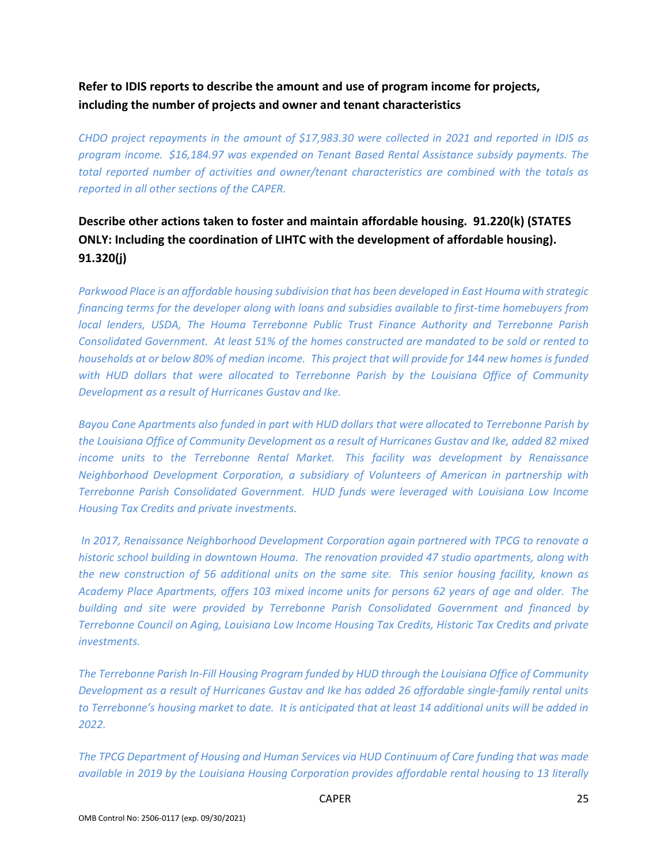# Refer to IDIS reports to describe the amount and use of program income for projects, including the number of projects and owner and tenant characteristics

CHDO project repayments in the amount of \$17,983.30 were collected in 2021 and reported in IDIS as program income. \$16,184.97 was expended on Tenant Based Rental Assistance subsidy payments. The total reported number of activities and owner/tenant characteristics are combined with the totals as reported in all other sections of the CAPER.

# Describe other actions taken to foster and maintain affordable housing. 91.220(k) (STATES ONLY: Including the coordination of LIHTC with the development of affordable housing). 91.320(j)

Parkwood Place is an affordable housing subdivision that has been developed in East Houma with strategic financing terms for the developer along with loans and subsidies available to first-time homebuyers from local lenders, USDA, The Houma Terrebonne Public Trust Finance Authority and Terrebonne Parish Consolidated Government. At least 51% of the homes constructed are mandated to be sold or rented to households at or below 80% of median income. This project that will provide for 144 new homes is funded with HUD dollars that were allocated to Terrebonne Parish by the Louisiana Office of Community Development as a result of Hurricanes Gustav and Ike.

Bayou Cane Apartments also funded in part with HUD dollars that were allocated to Terrebonne Parish by the Louisiana Office of Community Development as a result of Hurricanes Gustav and Ike, added 82 mixed income units to the Terrebonne Rental Market. This facility was development by Renaissance Neighborhood Development Corporation, a subsidiary of Volunteers of American in partnership with Terrebonne Parish Consolidated Government. HUD funds were leveraged with Louisiana Low Income Housing Tax Credits and private investments.

 In 2017, Renaissance Neighborhood Development Corporation again partnered with TPCG to renovate a historic school building in downtown Houma. The renovation provided 47 studio apartments, along with the new construction of 56 additional units on the same site. This senior housing facility, known as Academy Place Apartments, offers 103 mixed income units for persons 62 years of age and older. The building and site were provided by Terrebonne Parish Consolidated Government and financed by Terrebonne Council on Aging, Louisiana Low Income Housing Tax Credits, Historic Tax Credits and private investments.

The Terrebonne Parish In-Fill Housing Program funded by HUD through the Louisiana Office of Community Development as a result of Hurricanes Gustav and Ike has added 26 affordable single-family rental units to Terrebonne's housing market to date. It is anticipated that at least 14 additional units will be added in 2022.

The TPCG Department of Housing and Human Services via HUD Continuum of Care funding that was made available in 2019 by the Louisiana Housing Corporation provides affordable rental housing to 13 literally